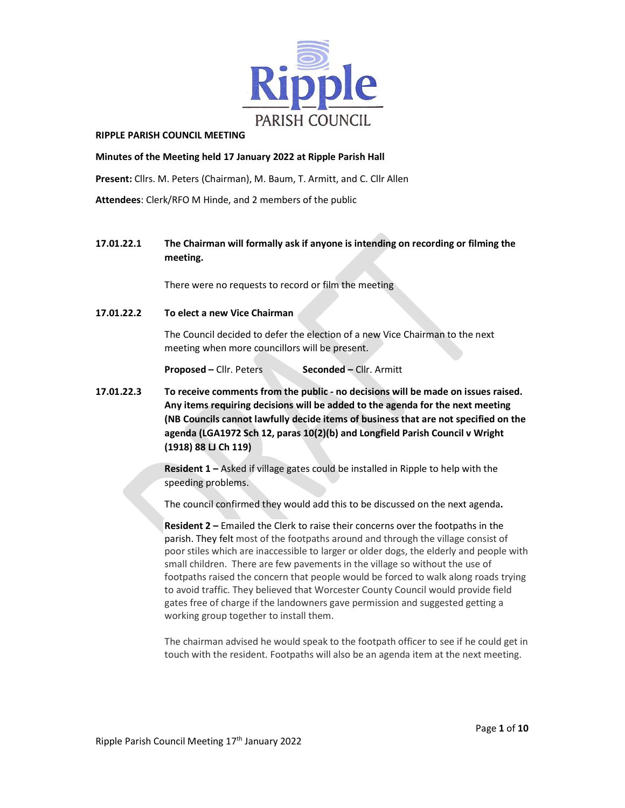

#### RIPPLE PARISH COUNCIL MEETING

### Minutes of the Meeting held 17 January 2022 at Ripple Parish Hall

Present: Cllrs. M. Peters (Chairman), M. Baum, T. Armitt, and C. Cllr Allen

Attendees: Clerk/RFO M Hinde, and 2 members of the public

# 17.01.22.1 The Chairman will formally ask if anyone is intending on recording or filming the meeting.

There were no requests to record or film the meeting

17.01.22.2 To elect a new Vice Chairman

The Council decided to defer the election of a new Vice Chairman to the next meeting when more councillors will be present.

Proposed – Cllr. Peters Seconded – Cllr. Armitt

17.01.22.3 To receive comments from the public - no decisions will be made on issues raised. Any items requiring decisions will be added to the agenda for the next meeting (NB Councils cannot lawfully decide items of business that are not specified on the agenda (LGA1972 Sch 12, paras 10(2)(b) and Longfield Parish Council v Wright (1918) 88 LJ Ch 119)

> Resident 1 – Asked if village gates could be installed in Ripple to help with the speeding problems.

The council confirmed they would add this to be discussed on the next agenda.

Resident 2 – Emailed the Clerk to raise their concerns over the footpaths in the parish. They felt most of the footpaths around and through the village consist of poor stiles which are inaccessible to larger or older dogs, the elderly and people with small children. There are few pavements in the village so without the use of footpaths raised the concern that people would be forced to walk along roads trying to avoid traffic. They believed that Worcester County Council would provide field gates free of charge if the landowners gave permission and suggested getting a working group together to install them.

The chairman advised he would speak to the footpath officer to see if he could get in touch with the resident. Footpaths will also be an agenda item at the next meeting.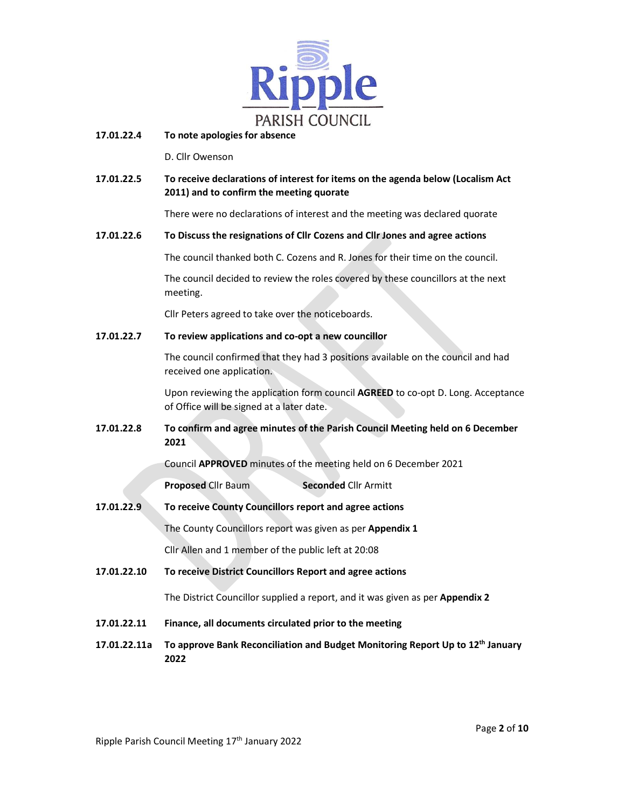

## 17.01.22.4 To note apologies for absence

D. Cllr Owenson

17.01.22.5 To receive declarations of interest for items on the agenda below (Localism Act 2011) and to confirm the meeting quorate

There were no declarations of interest and the meeting was declared quorate

### 17.01.22.6 To Discuss the resignations of Cllr Cozens and Cllr Jones and agree actions

The council thanked both C. Cozens and R. Jones for their time on the council.

 The council decided to review the roles covered by these councillors at the next meeting.

Cllr Peters agreed to take over the noticeboards.

## 17.01.22.7 To review applications and co-opt a new councillor

 The council confirmed that they had 3 positions available on the council and had received one application.

 Upon reviewing the application form council AGREED to co-opt D. Long. Acceptance of Office will be signed at a later date.

17.01.22.8 To confirm and agree minutes of the Parish Council Meeting held on 6 December 2021

Council APPROVED minutes of the meeting held on 6 December 2021

**Proposed Cllr Baum Seconded Cllr Armitt** 

17.01.22.9 To receive County Councillors report and agree actions

The County Councillors report was given as per Appendix 1

Cllr Allen and 1 member of the public left at 20:08

17.01.22.10 To receive District Councillors Report and agree actions

The District Councillor supplied a report, and it was given as per Appendix 2

- 17.01.22.11 Finance, all documents circulated prior to the meeting
- 17.01.22.11a To approve Bank Reconciliation and Budget Monitoring Report Up to 12<sup>th</sup> January 2022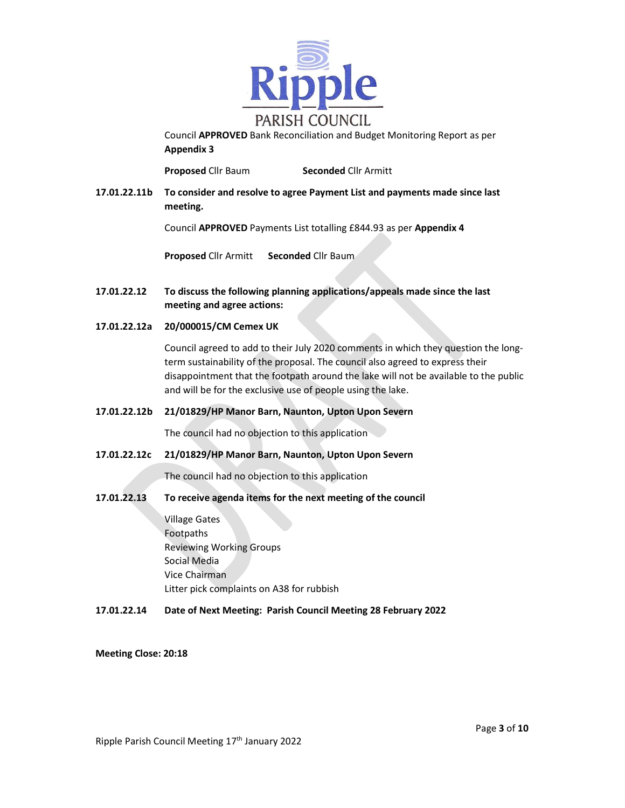

Council APPROVED Bank Reconciliation and Budget Monitoring Report as per Appendix 3

**Proposed Cllr Baum Seconded Cllr Armitt** 

17.01.22.11b To consider and resolve to agree Payment List and payments made since last meeting.

Council APPROVED Payments List totalling £844.93 as per Appendix 4

Proposed Cllr Armitt Seconded Cllr Baum

- 17.01.22.12 To discuss the following planning applications/appeals made since the last meeting and agree actions:
- 17.01.22.12a 20/000015/CM Cemex UK

Council agreed to add to their July 2020 comments in which they question the longterm sustainability of the proposal. The council also agreed to express their disappointment that the footpath around the lake will not be available to the public and will be for the exclusive use of people using the lake.

17.01.22.12b 21/01829/HP Manor Barn, Naunton, Upton Upon Severn

The council had no objection to this application

17.01.22.12c 21/01829/HP Manor Barn, Naunton, Upton Upon Severn

The council had no objection to this application

17.01.22.13 To receive agenda items for the next meeting of the council

 Village Gates Footpaths Reviewing Working Groups Social Media Vice Chairman Litter pick complaints on A38 for rubbish

17.01.22.14 Date of Next Meeting: Parish Council Meeting 28 February 2022

Meeting Close: 20:18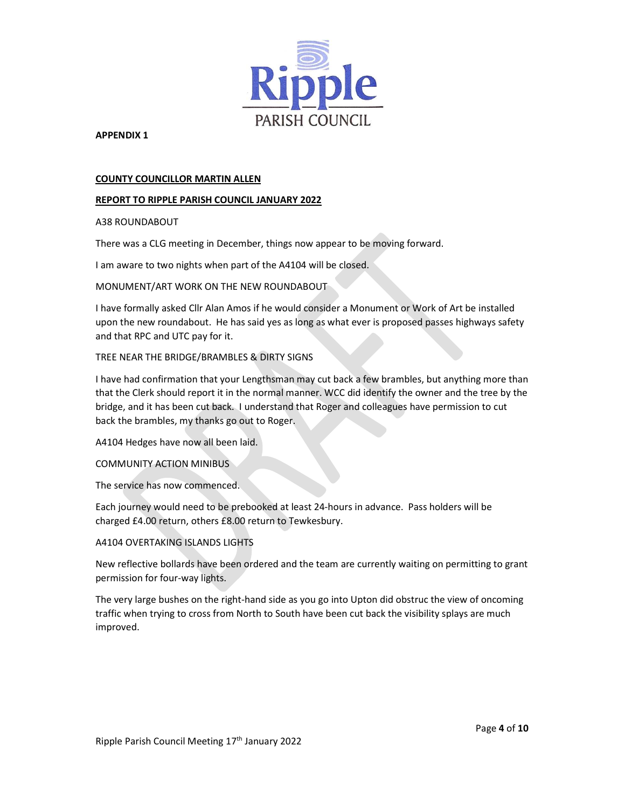

### COUNTY COUNCILLOR MARTIN ALLEN

## REPORT TO RIPPLE PARISH COUNCIL JANUARY 2022

### A38 ROUNDABOUT

There was a CLG meeting in December, things now appear to be moving forward.

I am aware to two nights when part of the A4104 will be closed.

## MONUMENT/ART WORK ON THE NEW ROUNDABOUT

I have formally asked Cllr Alan Amos if he would consider a Monument or Work of Art be installed upon the new roundabout. He has said yes as long as what ever is proposed passes highways safety and that RPC and UTC pay for it.

## TREE NEAR THE BRIDGE/BRAMBLES & DIRTY SIGNS

I have had confirmation that your Lengthsman may cut back a few brambles, but anything more than that the Clerk should report it in the normal manner. WCC did identify the owner and the tree by the bridge, and it has been cut back. I understand that Roger and colleagues have permission to cut back the brambles, my thanks go out to Roger.

A4104 Hedges have now all been laid.

### COMMUNITY ACTION MINIBUS

The service has now commenced.

Each journey would need to be prebooked at least 24-hours in advance. Pass holders will be charged £4.00 return, others £8.00 return to Tewkesbury.

### A4104 OVERTAKING ISLANDS LIGHTS

New reflective bollards have been ordered and the team are currently waiting on permitting to grant permission for four-way lights.

The very large bushes on the right-hand side as you go into Upton did obstruc the view of oncoming traffic when trying to cross from North to South have been cut back the visibility splays are much improved.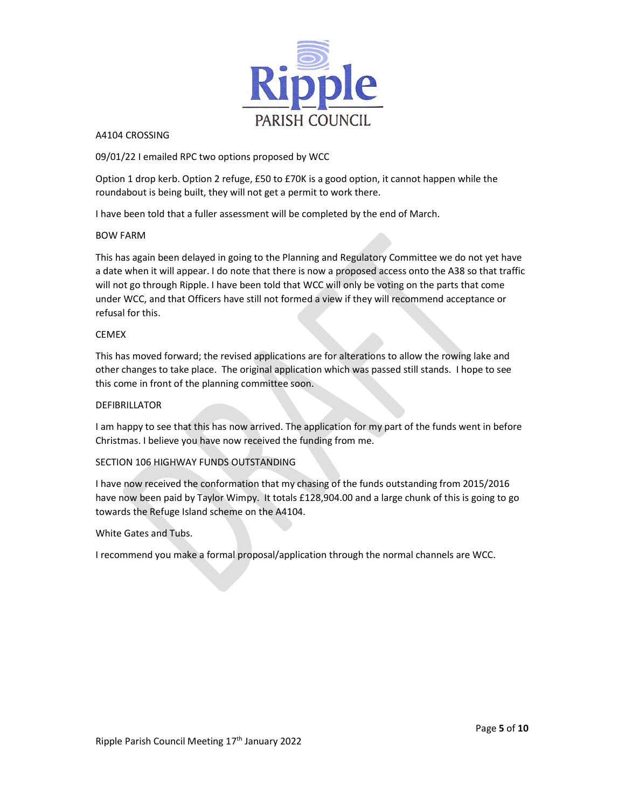

A4104 CROSSING<br>09/01/22 I emailed RPC two options proposed by WCC

Option 1 drop kerb. Option 2 refuge, £50 to £70K is a good option, it cannot happen while the roundabout is being built, they will not get a permit to work there.

I have been told that a fuller assessment will be completed by the end of March.

### BOW FARM

This has again been delayed in going to the Planning and Regulatory Committee we do not yet have a date when it will appear. I do note that there is now a proposed access onto the A38 so that traffic will not go through Ripple. I have been told that WCC will only be voting on the parts that come under WCC, and that Officers have still not formed a view if they will recommend acceptance or refusal for this.

## CEMEX

This has moved forward; the revised applications are for alterations to allow the rowing lake and other changes to take place. The original application which was passed still stands. I hope to see this come in front of the planning committee soon.

### DEFIBRILLATOR

I am happy to see that this has now arrived. The application for my part of the funds went in before Christmas. I believe you have now received the funding from me.

# SECTION 106 HIGHWAY FUNDS OUTSTANDING

I have now received the conformation that my chasing of the funds outstanding from 2015/2016 have now been paid by Taylor Wimpy. It totals £128,904.00 and a large chunk of this is going to go towards the Refuge Island scheme on the A4104.

### White Gates and Tubs.

I recommend you make a formal proposal/application through the normal channels are WCC.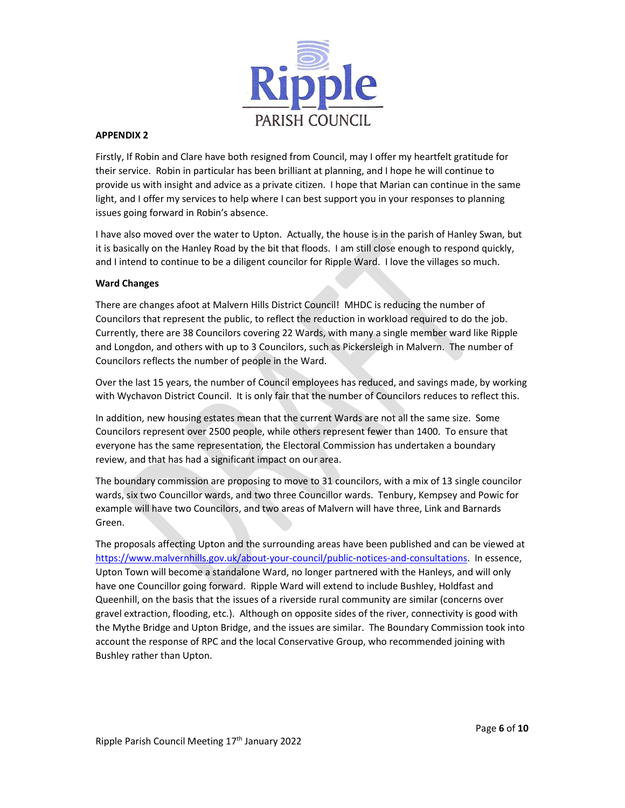

Firstly, If Robin and Clare have both resigned from Council, may I offer my heartfelt gratitude for their service. Robin in particular has been brilliant at planning, and I hope he will continue to provide us with insight and advice as a private citizen. I hope that Marian can continue in the same light, and I offer my services to help where I can best support you in your responses to planning issues going forward in Robin's absence.

I have also moved over the water to Upton. Actually, the house is in the parish of Hanley Swan, but it is basically on the Hanley Road by the bit that floods. I am still close enough to respond quickly, and I intend to continue to be a diligent councilor for Ripple Ward. I love the villages so much.

## Ward Changes

There are changes afoot at Malvern Hills District Council! MHDC is reducing the number of Councilors that represent the public, to reflect the reduction in workload required to do the job. Currently, there are 38 Councilors covering 22 Wards, with many a single member ward like Ripple and Longdon, and others with up to 3 Councilors, such as Pickersleigh in Malvern. The number of Councilors reflects the number of people in the Ward.

Over the last 15 years, the number of Council employees has reduced, and savings made, by working with Wychavon District Council. It is only fair that the number of Councilors reduces to reflect this.

In addition, new housing estates mean that the current Wards are not all the same size. Some Councilors represent over 2500 people, while others represent fewer than 1400. To ensure that everyone has the same representation, the Electoral Commission has undertaken a boundary review, and that has had a significant impact on our area.

The boundary commission are proposing to move to 31 councilors, with a mix of 13 single councilor wards, six two Councillor wards, and two three Councillor wards. Tenbury, Kempsey and Powic for example will have two Councilors, and two areas of Malvern will have three, Link and Barnards Green.

The proposals affecting Upton and the surrounding areas have been published and can be viewed at https://www.malvernhills.gov.uk/about-your-council/public-notices-and-consultations. In essence, Upton Town will become a standalone Ward, no longer partnered with the Hanleys, and will only have one Councillor going forward. Ripple Ward will extend to include Bushley, Holdfast and Queenhill, on the basis that the issues of a riverside rural community are similar (concerns over gravel extraction, flooding, etc.). Although on opposite sides of the river, connectivity is good with the Mythe Bridge and Upton Bridge, and the issues are similar. The Boundary Commission took into account the response of RPC and the local Conservative Group, who recommended joining with Bushley rather than Upton.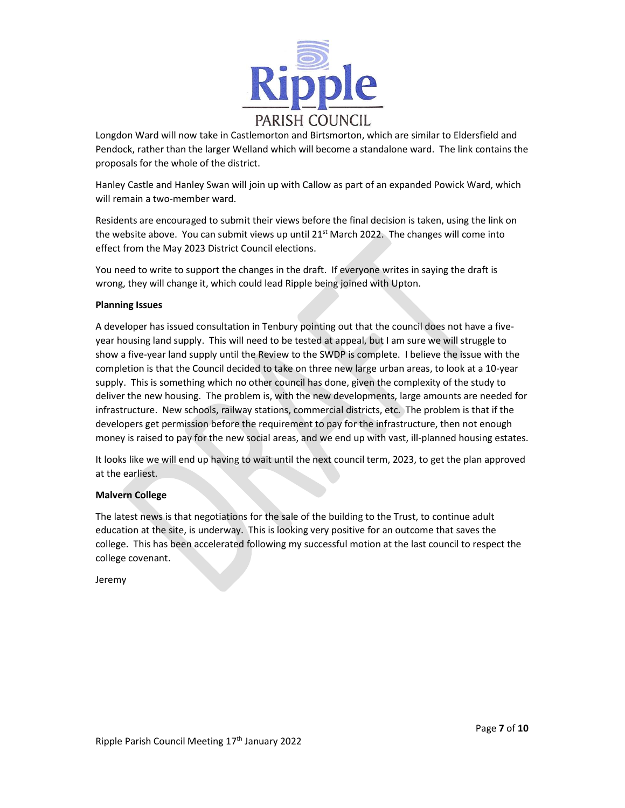

Longdon Ward will now take in Castlemorton and Birtsmorton, which are similar to Eldersfield and Pendock, rather than the larger Welland which will become a standalone ward. The link contains the proposals for the whole of the district.

Hanley Castle and Hanley Swan will join up with Callow as part of an expanded Powick Ward, which will remain a two-member ward.

Residents are encouraged to submit their views before the final decision is taken, using the link on the website above. You can submit views up until 21<sup>st</sup> March 2022. The changes will come into effect from the May 2023 District Council elections.

You need to write to support the changes in the draft. If everyone writes in saying the draft is wrong, they will change it, which could lead Ripple being joined with Upton.

### Planning Issues

A developer has issued consultation in Tenbury pointing out that the council does not have a fiveyear housing land supply. This will need to be tested at appeal, but I am sure we will struggle to show a five-year land supply until the Review to the SWDP is complete. I believe the issue with the completion is that the Council decided to take on three new large urban areas, to look at a 10-year supply. This is something which no other council has done, given the complexity of the study to deliver the new housing. The problem is, with the new developments, large amounts are needed for infrastructure. New schools, railway stations, commercial districts, etc. The problem is that if the developers get permission before the requirement to pay for the infrastructure, then not enough money is raised to pay for the new social areas, and we end up with vast, ill-planned housing estates.

It looks like we will end up having to wait until the next council term, 2023, to get the plan approved at the earliest.

### Malvern College

The latest news is that negotiations for the sale of the building to the Trust, to continue adult education at the site, is underway. This is looking very positive for an outcome that saves the college. This has been accelerated following my successful motion at the last council to respect the college covenant.

Jeremy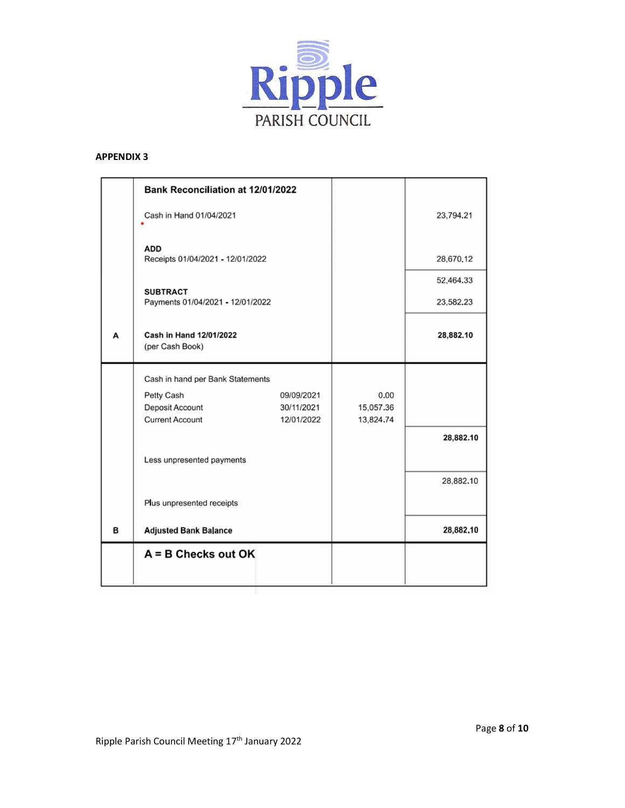

|   | <b>Bank Reconciliation at 12/01/2022</b>                |                                        |                                |                        |
|---|---------------------------------------------------------|----------------------------------------|--------------------------------|------------------------|
|   | Cash in Hand 01/04/2021                                 |                                        |                                | 23,794.21              |
|   | <b>ADD</b><br>Receipts 01/04/2021 - 12/01/2022          |                                        |                                | 28,670.12              |
|   | <b>SUBTRACT</b><br>Payments 01/04/2021 - 12/01/2022     |                                        |                                | 52,464.33<br>23,582.23 |
| А | Cash in Hand 12/01/2022<br>(per Cash Book)              |                                        |                                | 28,882.10              |
|   | Cash in hand per Bank Statements                        |                                        |                                |                        |
|   | Petty Cash<br>Deposit Account<br><b>Current Account</b> | 09/09/2021<br>30/11/2021<br>12/01/2022 | 0.00<br>15,057.36<br>13,824.74 |                        |
|   | Less unpresented payments                               |                                        |                                | 28,882.10              |
|   | Plus unpresented receipts                               |                                        |                                | 28,882.10              |
| в | <b>Adjusted Bank Balance</b>                            |                                        |                                | 28,882,10              |
|   | $A = B$ Checks out OK                                   |                                        |                                |                        |
|   |                                                         |                                        |                                |                        |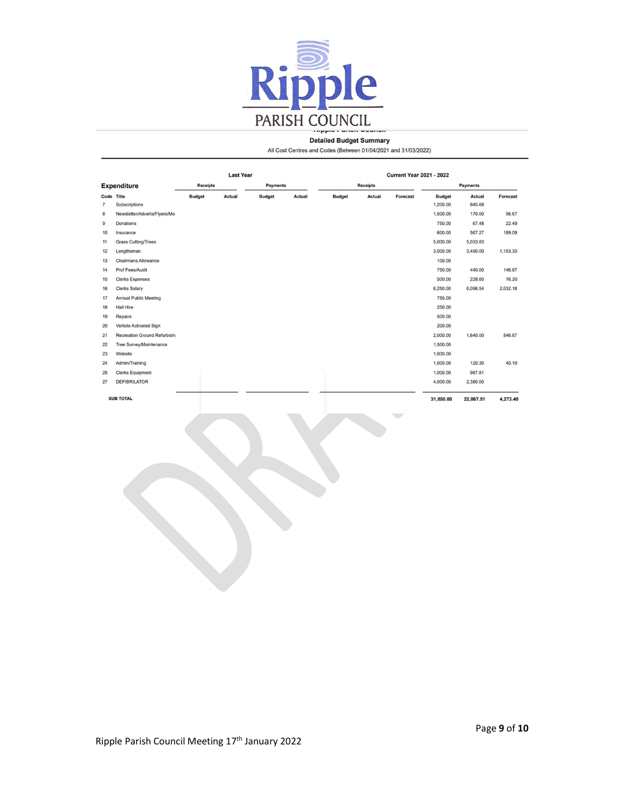

#### **Detailed Budget Summary**

All Cost Centres and Codes (Between 01/04/2021 and 31/03/2022)

|                    |                                     | <b>Last Year</b> |               |                 | <b>Current Year 2021 - 2022</b> |               |                 |                 |               |                 |                 |
|--------------------|-------------------------------------|------------------|---------------|-----------------|---------------------------------|---------------|-----------------|-----------------|---------------|-----------------|-----------------|
| <b>Expenditure</b> |                                     | <b>Receipts</b>  |               | <b>Payments</b> |                                 |               | <b>Receipts</b> |                 |               | <b>Payments</b> |                 |
|                    | Code Title                          | <b>Budget</b>    | <b>Actual</b> | <b>Budget</b>   | <b>Actual</b>                   | <b>Budget</b> | <b>Actual</b>   | <b>Forecast</b> | <b>Budget</b> | <b>Actual</b>   | <b>Forecast</b> |
| $\overline{7}$     | <b>Subscriptions</b>                |                  |               |                 |                                 |               |                 |                 | 1,200.00      | 845.68          |                 |
| 8                  | Newsletter/Adverts/Flyers/Me-       |                  |               |                 |                                 |               |                 |                 | 1,500.00      | 170.00          | 56.67           |
| $\overline{9}$     | <b>Donations</b>                    |                  |               |                 |                                 |               |                 |                 | 750.00        | 67.48           | 22.49           |
| 10                 | Insurance                           |                  |               |                 |                                 |               |                 |                 | 600.00        | 567.27          | 189.09          |
| 11                 | <b>Grass Cutting/Trees</b>          |                  |               |                 |                                 |               |                 |                 | 5,000.00      | 5,033.83        |                 |
| 12                 | Lengthsman                          |                  |               |                 |                                 |               |                 |                 | 3,000.00      | 3,490.00        | 1,163.33        |
| 13                 | <b>Chairmans Allowance</b>          |                  |               |                 |                                 |               |                 |                 | 100.00        |                 |                 |
| 14                 | <b>Prof Fees/Audit</b>              |                  |               |                 |                                 |               |                 |                 | 750.00        | 440.00          | 146.67          |
| 15                 | <b>Clerks Expenses</b>              |                  |               |                 |                                 |               |                 |                 | 500.00        | 228.60          | 76.20           |
| 16                 | <b>Clerks Salary</b>                |                  |               |                 |                                 |               |                 |                 | 6,250.00      | 6,096.54        | 2,032.18        |
| 17                 | <b>Annual Public Meeting</b>        |                  |               |                 |                                 |               |                 |                 | 750.00        |                 |                 |
| 18                 | <b>Hall Hire</b>                    |                  |               |                 |                                 |               |                 |                 | 250.00        |                 |                 |
| 19                 | Repairs                             |                  |               |                 |                                 |               |                 |                 | 500.00        |                 |                 |
| 20                 | Vehicle Activated Sign              |                  |               |                 |                                 |               |                 |                 | 200.00        |                 |                 |
| 21                 | <b>Recreation Ground Refurbishi</b> |                  |               |                 |                                 |               |                 |                 | 2,000.00      | 1,640.00        | 546.67          |
| 22                 | <b>Tree Survey/Maintenance</b>      |                  |               |                 |                                 |               |                 |                 | 1,500.00      |                 |                 |
| 23                 | Website                             |                  |               |                 |                                 |               |                 |                 | 1,000.00      |                 |                 |
| 24                 | Admin/Training                      |                  |               |                 |                                 |               |                 |                 | 1,000.00      | 120.30          | 40.10           |
| 25                 | <b>Clerks Equipment</b>             |                  |               |                 |                                 |               |                 |                 | 1,000.00      | 987.81          |                 |
| 27                 | <b>DEFIBRILATOR</b>                 |                  |               |                 |                                 |               |                 |                 | 4,000.00      | 2,380.00        |                 |
|                    |                                     |                  |               |                 |                                 |               |                 |                 |               |                 |                 |
|                    | <b>SUB TOTAL</b>                    |                  |               |                 |                                 |               |                 |                 | 31,850.00     | 22,067.51       | 4,273,40        |

Ripple Parish Council Meeting 17th January 2022